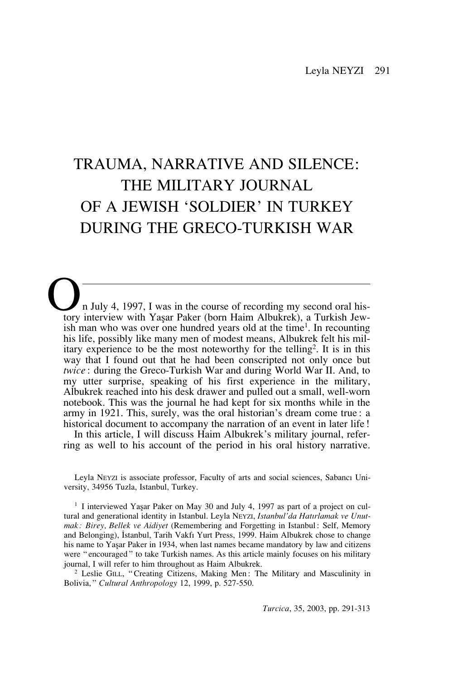# TRAUMA, NARRATIVE AND SILENCE: THE MILITARY JOURNAL OF A JEWISH 'SOLDIER' IN TURKEY DURING THE GRECO-TURKISH WAR

n July 4, 1997, I was in the course of recording my second oral his-The U.S. of the course of recording my second oral history interview with Yaşar Paker (born Haim Albukrek), a Turkish Jewish man who was over one hundred years old at the time<sup>1</sup>. In recounting his life, possibly like many men of modest means, Albukrek felt his military experience to be the most noteworthy for the telling2 . It is in this way that I found out that he had been conscripted not only once but *twice*: during the Greco-Turkish War and during World War II. And, to my utter surprise, speaking of his first experience in the military, Albukrek reached into his desk drawer and pulled out a small, well-worn notebook. This was the journal he had kept for six months while in the army in 1921. This, surely, was the oral historian's dream come true : a historical document to accompany the narration of an event in later life!

In this article, I will discuss Haim Albukrek's military journal, referring as well to his account of the period in his oral history narrative.

Leyla NEYZI is associate professor, Faculty of arts and social sciences, Sabancı University, 34956 Tuzla, Istanbul, Turkey.

<sup>1</sup> I interviewed Yaşar Paker on May 30 and July 4, 1997 as part of a project on cultural and generational identity in Istanbul. Leyla NEYZI, Istanbul'da Hatırlamak ve Unutmak: Birey, Bellek ve Aidiyet (Remembering and Forgetting in Istanbul∶ Self, Memory and Belonging), Istanbul, Tarih Vakfı Yurt Press, 1999. Haim Albukrek chose to change his name to Yaşar Paker in 1934, when last names became mandatory by law and citizens were "encouraged" to take Turkish names. As this article mainly focuses on his military journal, I will refer to him throughout as Haim Albukrek.

<sup>2</sup> Leslie GILL, "Creating Citizens, Making Men: The Military and Masculinity in Bolivia," Cultural Anthropology 12, 1999, p. 527-550.

Turcica, 35, 2003, pp. 291-313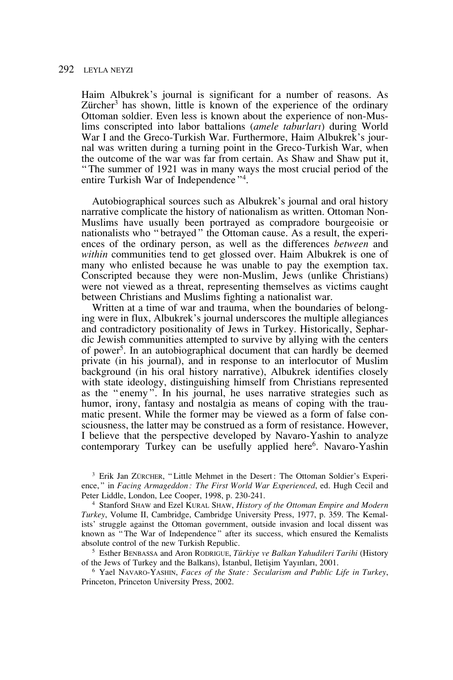# 292 LEYLA NEYZI

Haim Albukrek's journal is significant for a number of reasons. As Zürcher<sup>3</sup> has shown, little is known of the experience of the ordinary Ottoman soldier. Even less is known about the experience of non-Muslims conscripted into labor battalions (amele taburları) during World War I and the Greco-Turkish War. Furthermore, Haim Albukrek's journal was written during a turning point in the Greco-Turkish War, when the outcome of the war was far from certain. As Shaw and Shaw put it, "The summer of 1921 was in many ways the most crucial period of the entire Turkish War of Independence<sup>™4</sup>.

Autobiographical sources such as Albukrek's journal and oral history narrative complicate the history of nationalism as written. Ottoman Non-Muslims have usually been portrayed as compradore bourgeoisie or nationalists who "betrayed" the Ottoman cause. As a result, the experiences of the ordinary person, as well as the differences between and within communities tend to get glossed over. Haim Albukrek is one of many who enlisted because he was unable to pay the exemption tax. Conscripted because they were non-Muslim, Jews (unlike Christians) were not viewed as a threat, representing themselves as victims caught between Christians and Muslims fighting a nationalist war.

Written at a time of war and trauma, when the boundaries of belonging were in flux, Albukrek's journal underscores the multiple allegiances and contradictory positionality of Jews in Turkey. Historically, Sephardic Jewish communities attempted to survive by allying with the centers of power<sup>5</sup>. In an autobiographical document that can hardly be deemed private (in his journal), and in response to an interlocutor of Muslim background (in his oral history narrative), Albukrek identifies closely with state ideology, distinguishing himself from Christians represented as the "∞enemy∞". In his journal, he uses narrative strategies such as humor, irony, fantasy and nostalgia as means of coping with the traumatic present. While the former may be viewed as a form of false consciousness, the latter may be construed as a form of resistance. However, I believe that the perspective developed by Navaro-Yashin to analyze contemporary Turkey can be usefully applied here<sup>6</sup>. Navaro-Yashin

<sup>3</sup> Erik Jan ZÜRCHER, "Little Mehmet in the Desert: The Ottoman Soldier's Experience," in Facing Armageddon: The First World War Experienced, ed. Hugh Cecil and Peter Liddle, London, Lee Cooper, 1998, p. 230-241.

<sup>4</sup> Stanford SHAW and Ezel KURAL SHAW, History of the Ottoman Empire and Modern Turkey, Volume II, Cambridge, Cambridge University Press, 1977, p. 359. The Kemalists' struggle against the Ottoman government, outside invasion and local dissent was known as "The War of Independence" after its success, which ensured the Kemalists absolute control of the new Turkish Republic.

<sup>5</sup> Esther BENBASSA and Aron RODRIGUE, Türkiye ve Balkan Yahudileri Tarihi (History of the Jews of Turkey and the Balkans), İstanbul, Iletişim Yayınları, 2001.

<sup>6</sup> Yael NAVARO-YASHIN, Faces of the State∶ Secularism and Public Life in Turkey, Princeton, Princeton University Press, 2002.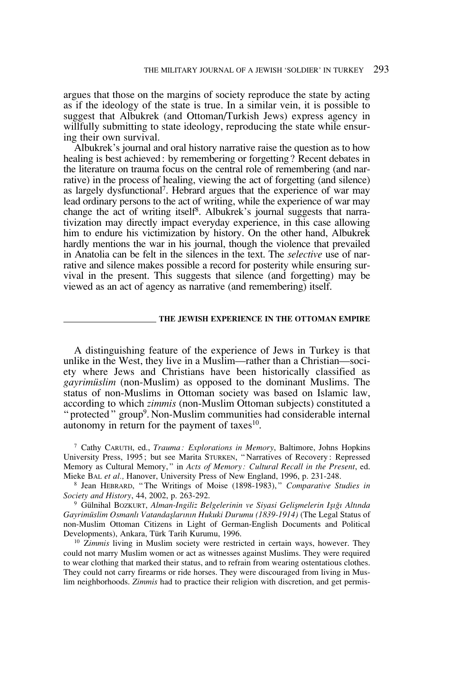argues that those on the margins of society reproduce the state by acting as if the ideology of the state is true. In a similar vein, it is possible to suggest that Albukrek (and Ottoman/Turkish Jews) express agency in willfully submitting to state ideology, reproducing the state while ensuring their own survival.

Albukrek's journal and oral history narrative raise the question as to how healing is best achieved∶ by remembering or forgetting? Recent debates in the literature on trauma focus on the central role of remembering (and narrative) in the process of healing, viewing the act of forgetting (and silence) as largely dysfunctional<sup>7</sup>. Hebrard argues that the experience of war may lead ordinary persons to the act of writing, while the experience of war may change the act of writing itself<sup>8</sup>. Albukrek's journal suggests that narrativization may directly impact everyday experience, in this case allowing him to endure his victimization by history. On the other hand, Albukrek hardly mentions the war in his journal, though the violence that prevailed in Anatolia can be felt in the silences in the text. The selective use of narrative and silence makes possible a record for posterity while ensuring survival in the present. This suggests that silence (and forgetting) may be viewed as an act of agency as narrative (and remembering) itself.

#### THE JEWISH EXPERIENCE IN THE OTTOMAN EMPIRE

A distinguishing feature of the experience of Jews in Turkey is that unlike in the West, they live in a Muslim—rather than a Christian—society where Jews and Christians have been historically classified as gayrimüslim (non-Muslim) as opposed to the dominant Muslims. The status of non-Muslims in Ottoman society was based on Islamic law, according to which zimmis (non-Muslim Ottoman subjects) constituted a "∞protected∞" group9 . Non-Muslim communities had considerable internal autonomy in return for the payment of taxes $10$ .

7 Cathy CARUTH, ed., Trauma: Explorations in Memory, Baltimore, Johns Hopkins University Press, 1995; but see Marita STURKEN, "Narratives of Recovery: Repressed Memory as Cultural Memory," in Acts of Memory: Cultural Recall in the Present, ed. Mieke BAL et al., Hanover, University Press of New England, 1996, p. 231-248.

<sup>8</sup> Jean HEBRARD, "The Writings of Moise (1898-1983)," Comparative Studies in Society and History, 44, 2002, p. 263-292.

9 Gülnihal BOZKURT, Alman-Ingiliz Belgelerinin ve Siyasi Gelişmelerin Işığı Altında Gayrimüslim Osmanlı Vatandaşlarının Hukuki Durumu (1839-1914) (The Legal Status of non-Muslim Ottoman Citizens in Light of German-English Documents and Political Developments), Ankara, Türk Tarih Kurumu, 1996.

<sup>10</sup> Zimmis living in Muslim society were restricted in certain ways, however. They could not marry Muslim women or act as witnesses against Muslims. They were required to wear clothing that marked their status, and to refrain from wearing ostentatious clothes. They could not carry firearms or ride horses. They were discouraged from living in Muslim neighborhoods. Zimmis had to practice their religion with discretion, and get permis-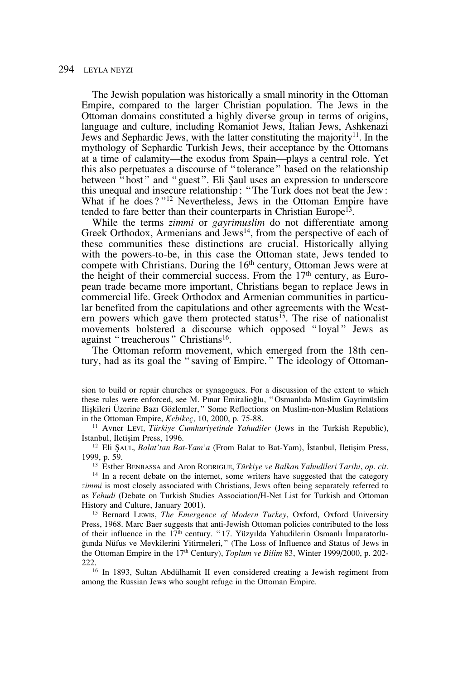The Jewish population was historically a small minority in the Ottoman Empire, compared to the larger Christian population. The Jews in the Ottoman domains constituted a highly diverse group in terms of origins, language and culture, including Romaniot Jews, Italian Jews, Ashkenazi Jews and Sephardic Jews, with the latter constituting the majority<sup>11</sup>. In the mythology of Sephardic Turkish Jews, their acceptance by the Ottomans at a time of calamity—the exodus from Spain—plays a central role. Yet this also perpetuates a discourse of "tolerance" based on the relationship between "host" and "guest". Eli Şaul uses an expression to underscore this unequal and insecure relationship: "The Turk does not beat the Jew: What if he does?"<sup>12</sup> Nevertheless, Jews in the Ottoman Empire have tended to fare better than their counterparts in Christian Europe<sup>13</sup>.

While the terms *zimmi* or *gayrimuslim* do not differentiate among Greek Orthodox, Armenians and Jews<sup>14</sup>, from the perspective of each of these communities these distinctions are crucial. Historically allying with the powers-to-be, in this case the Ottoman state, Jews tended to compete with Christians. During the  $16<sup>th</sup>$  century, Ottoman Jews were at the height of their commercial success. From the  $17<sup>th</sup>$  century, as European trade became more important, Christians began to replace Jews in commercial life. Greek Orthodox and Armenian communities in particular benefited from the capitulations and other agreements with the Western powers which gave them protected status<sup>15</sup>. The rise of nationalist movements bolstered a discourse which opposed "loyal" Jews as against "treacherous" Christians<sup>16</sup>.

The Ottoman reform movement, which emerged from the 18th century, had as its goal the "saving of Empire." The ideology of Ottoman-

sion to build or repair churches or synagogues. For a discussion of the extent to which these rules were enforced, see M. Pınar Emiralioğlu, "Osmanlıda Müslim Gayrimüslim Ili≥kileri Üzerine Bazı Gözlemler,∞" Some Reflections on Muslim-non-Muslim Relations in the Ottoman Empire, Kebikeç, 10, 2000, p. 75-88.

<sup>11</sup> Avner Levi, *Türkiye Cumhuriyetinde Yahudiler* (Jews in the Turkish Republic), İstanbul, İletişim Press, 1996.

<sup>12</sup> Eli ŞAUL, Balat'tan Bat-Yam'a (From Balat to Bat-Yam), İstanbul, Iletişim Press, 1999, p. 59.

 $13$  Esther BENBASSA and Aron RODRIGUE, Türkiye ve Balkan Yahudileri Tarihi, op. cit.

<sup>14</sup> In a recent debate on the internet, some writers have suggested that the category zimmi is most closely associated with Christians, Jews often being separately referred to as Yehudi (Debate on Turkish Studies Association/H-Net List for Turkish and Ottoman History and Culture, January 2001).

<sup>15</sup> Bernard LEWIS, *The Emergence of Modern Turkey*, Oxford, Oxford University Press, 1968. Marc Baer suggests that anti-Jewish Ottoman policies contributed to the loss of their influence in the 17<sup>th</sup> century. "17. Yüzyılda Yahudilerin Osmanlı İmparatorluğunda Nüfus ve Mevkilerini Yitirmeleri," (The Loss of Influence and Status of Jews in the Ottoman Empire in the 17<sup>th</sup> Century), Toplum ve Bilim 83, Winter 1999/2000, p. 202-222.<br><sup>16</sup> In 1893, Sultan Abdülhamit II even considered creating a Jewish regiment from

among the Russian Jews who sought refuge in the Ottoman Empire.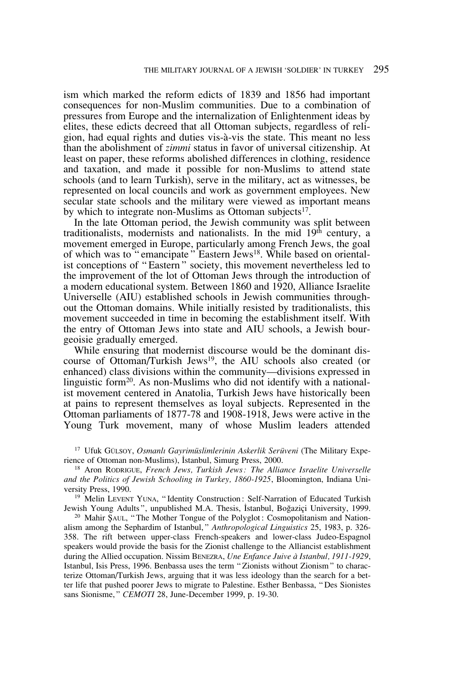ism which marked the reform edicts of 1839 and 1856 had important consequences for non-Muslim communities. Due to a combination of pressures from Europe and the internalization of Enlightenment ideas by elites, these edicts decreed that all Ottoman subjects, regardless of religion, had equal rights and duties vis-à-vis the state. This meant no less than the abolishment of zimmi status in favor of universal citizenship. At least on paper, these reforms abolished differences in clothing, residence and taxation, and made it possible for non-Muslims to attend state schools (and to learn Turkish), serve in the military, act as witnesses, be represented on local councils and work as government employees. New secular state schools and the military were viewed as important means by which to integrate non-Muslims as Ottoman subjects<sup>17</sup>.

In the late Ottoman period, the Jewish community was split between traditionalists, modernists and nationalists. In the mid  $19<sup>th</sup>$  century, a movement emerged in Europe, particularly among French Jews, the goal of which was to "emancipate" Eastern Jews<sup>18</sup>. While based on orientalist conceptions of "Eastern" society, this movement nevertheless led to the improvement of the lot of Ottoman Jews through the introduction of a modern educational system. Between 1860 and 1920, Alliance Israelite Universelle (AIU) established schools in Jewish communities throughout the Ottoman domains. While initially resisted by traditionalists, this movement succeeded in time in becoming the establishment itself. With the entry of Ottoman Jews into state and AIU schools, a Jewish bourgeoisie gradually emerged.

While ensuring that modernist discourse would be the dominant discourse of Ottoman/Turkish Jews<sup>19</sup>, the AIU schools also created (or enhanced) class divisions within the community—divisions expressed in linguistic form<sup>20</sup>. As non-Muslims who did not identify with a nationalist movement centered in Anatolia, Turkish Jews have historically been at pains to represent themselves as loyal subjects. Represented in the Ottoman parliaments of 1877-78 and 1908-1918, Jews were active in the Young Turk movement, many of whose Muslim leaders attended

<sup>17</sup> Ufuk Gülsoy, Osmanlı Gayrimüslimlerinin Askerlik Serüveni (The Military Experience of Ottoman non-Muslims), Istanbul, Simurg Press, 2000.

 $18$  Aron RODRIGUE, French Jews, Turkish Jews: The Alliance Israelite Universelle and the Politics of Jewish Schooling in Turkey, 1860-1925, Bloomington, Indiana University Press, 1990.

<sup>19</sup> Melin LEVENT YUNA, "Identity Construction: Self-Narration of Educated Turkish Jewish Young Adults<sup>™</sup>, unpublished M.A. Thesis, İstanbul, Boğaziçi University, 1999.

<sup>20</sup> Mahir ŞAUL, "The Mother Tongue of the Polyglot∶ Cosmopolitanism and Nationalism among the Sephardim of Istanbul,<sup>™</sup> Anthropological Linguistics 25, 1983, p. 326-358. The rift between upper-class French-speakers and lower-class Judeo-Espagnol speakers would provide the basis for the Zionist challenge to the Alliancist establishment during the Allied occupation. Nissim BENEZRA, Une Enfance Juive à Istanbul, 1911-1929, Istanbul, Isis Press, 1996. Benbassa uses the term "Zionists without Zionism" to characterize Ottoman/Turkish Jews, arguing that it was less ideology than the search for a better life that pushed poorer Jews to migrate to Palestine. Esther Benbassa, "Des Sionistes sans Sionisme," CEMOTI 28, June-December 1999, p. 19-30.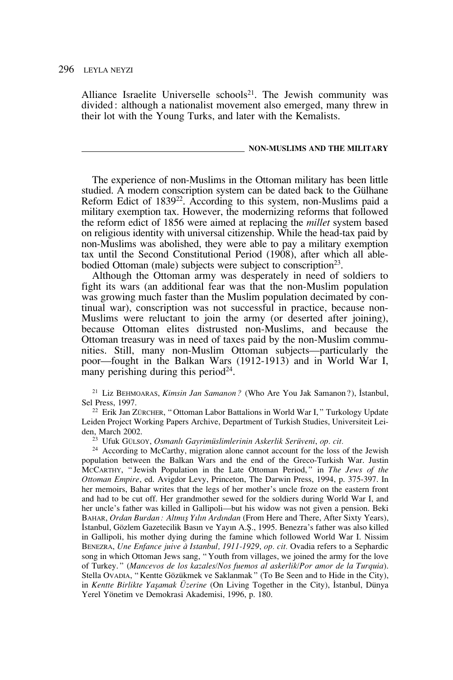Alliance Israelite Universelle schools<sup>21</sup>. The Jewish community was divided : although a nationalist movement also emerged, many threw in their lot with the Young Turks, and later with the Kemalists.

#### NON-MUSLIMS AND THE MILITARY

The experience of non-Muslims in the Ottoman military has been little studied. A modern conscription system can be dated back to the Gülhane Reform Edict of  $1839^{22}$ . According to this system, non-Muslims paid a military exemption tax. However, the modernizing reforms that followed the reform edict of 1856 were aimed at replacing the millet system based on religious identity with universal citizenship. While the head-tax paid by non-Muslims was abolished, they were able to pay a military exemption tax until the Second Constitutional Period (1908), after which all ablebodied Ottoman (male) subjects were subject to conscription<sup>23</sup>.

Although the Ottoman army was desperately in need of soldiers to fight its wars (an additional fear was that the non-Muslim population was growing much faster than the Muslim population decimated by continual war), conscription was not successful in practice, because non-Muslims were reluctant to join the army (or deserted after joining), because Ottoman elites distrusted non-Muslims, and because the Ottoman treasury was in need of taxes paid by the non-Muslim communities. Still, many non-Muslim Ottoman subjects—particularly the poor—fought in the Balkan Wars (1912-1913) and in World War I, many perishing during this period<sup>24</sup>.

<sup>21</sup> Liz BEHMOARAS, *Kimsin Jan Samanon*? (Who Are You Jak Samanon?), Istanbul, Sel Press, 1997.

<sup>22</sup> Erik Jan ZÜRCHER, "Ottoman Labor Battalions in World War I," Turkology Update Leiden Project Working Papers Archive, Department of Turkish Studies, Universiteit Lei-

<sup>23</sup> Ufuk GÜLSOY, Osmanlı Gayrimüslimlerinin Askerlik Serüveni, op. cit.

<sup>24</sup> According to McCarthy, migration alone cannot account for the loss of the Jewish population between the Balkan Wars and the end of the Greco-Turkish War. Justin MCCARTHY, "Jewish Population in the Late Ottoman Period," in The Jews of the Ottoman Empire, ed. Avigdor Levy, Princeton, The Darwin Press, 1994, p. 375-397. In her memoirs, Bahar writes that the legs of her mother's uncle froze on the eastern front and had to be cut off. Her grandmother sewed for the soldiers during World War I, and her uncle's father was killed in Gallipoli—but his widow was not given a pension. Beki BAHAR, Ordan Burdan: Altmış Yılın Ardından (From Here and There, After Sixty Years), Istanbul, Gözlem Gazetecilik Basın ve Yayın A.≤., 1995. Benezra's father was also killed in Gallipoli, his mother dying during the famine which followed World War I. Nissim BENEZRA, Une Enfance juive à Istanbul, 1911-1929, op. cit. Ovadia refers to a Sephardic song in which Ottoman Jews sang, "Youth from villages, we joined the army for the love of Turkey." (Mancevos de los kazales/Nos fuemos al askerlik/Por amor de la Turquia). Stella OvADIA, "Kentte Gözükmek ve Saklanmak" (To Be Seen and to Hide in the City), in Kentte Birlikte Yaşamak Üzerine (On Living Together in the City), İstanbul, Dünya Yerel Yönetim ve Demokrasi Akademisi, 1996, p. 180.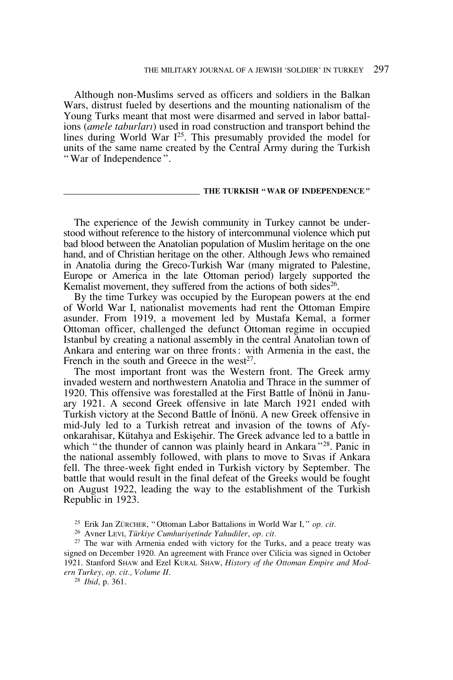Although non-Muslims served as officers and soldiers in the Balkan Wars, distrust fueled by desertions and the mounting nationalism of the Young Turks meant that most were disarmed and served in labor battalions (amele taburları) used in road construction and transport behind the lines during World War  $I^{25}$ . This presumably provided the model for units of the same name created by the Central Army during the Turkish "War of Independence".

#### THE TURKISH "WAR OF INDEPENDENCE"

The experience of the Jewish community in Turkey cannot be understood without reference to the history of intercommunal violence which put bad blood between the Anatolian population of Muslim heritage on the one hand, and of Christian heritage on the other. Although Jews who remained in Anatolia during the Greco-Turkish War (many migrated to Palestine, Europe or America in the late Ottoman period) largely supported the Kemalist movement, they suffered from the actions of both sides<sup>26</sup>.

By the time Turkey was occupied by the European powers at the end of World War I, nationalist movements had rent the Ottoman Empire asunder. From 1919, a movement led by Mustafa Kemal, a former Ottoman officer, challenged the defunct Ottoman regime in occupied Istanbul by creating a national assembly in the central Anatolian town of Ankara and entering war on three fronts: with Armenia in the east, the French in the south and Greece in the west $2^7$ .

The most important front was the Western front. The Greek army invaded western and northwestern Anatolia and Thrace in the summer of 1920. This offensive was forestalled at the First Battle of Inönü in January 1921. A second Greek offensive in late March 1921 ended with Turkish victory at the Second Battle of Inönü. A new Greek offensive in mid-July led to a Turkish retreat and invasion of the towns of Afyonkarahisar, Kütahya and Eskişehir. The Greek advance led to a battle in which "the thunder of cannon was plainly heard in Ankara<sup>328</sup>. Panic in the national assembly followed, with plans to move to Sıvas if Ankara fell. The three-week fight ended in Turkish victory by September. The battle that would result in the final defeat of the Greeks would be fought on August 1922, leading the way to the establishment of the Turkish Republic in 1923.

<sup>25</sup> Erik Jan ZÜRCHER, "Ottoman Labor Battalions in World War I," op. cit.

<sup>26</sup> Avner LEVI, Türkiye Cumhuriyetinde Yahudiler, op. cit.

<sup>27</sup> The war with Armenia ended with victory for the Turks, and a peace treaty was signed on December 1920. An agreement with France over Cilicia was signed in October 1921. Stanford SHAW and Ezel KURAL SHAW, History of the Ottoman Empire and Modern Turkey, op. cit., Volume II.<br> $^{28}$  Ibid, p. 361.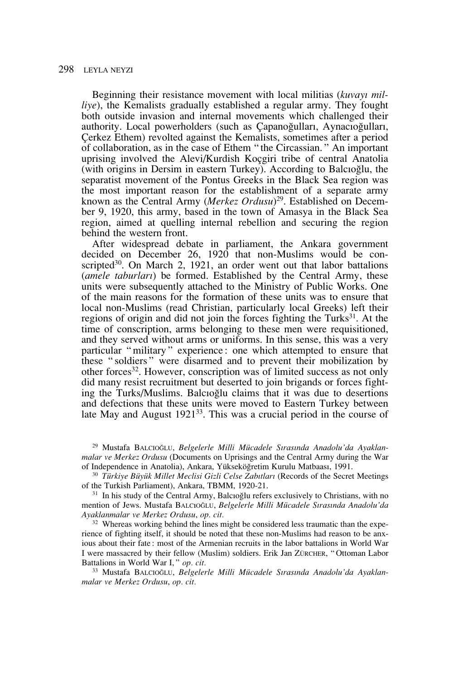Beginning their resistance movement with local militias (kuvayı milliye), the Kemalists gradually established a regular army. They fought both outside invasion and internal movements which challenged their authority. Local powerholders (such as Çapanogulları, Aynacıogulları, Çerkez Ethem) revolted against the Kemalists, sometimes after a period of collaboration, as in the case of Ethem "the Circassian." An important uprising involved the Alevi/Kurdish Koçgiri tribe of central Anatolia (with origins in Dersim in eastern Turkey). According to Balcıoglu, the separatist movement of the Pontus Greeks in the Black Sea region was the most important reason for the establishment of a separate army known as the Central Army (Merkez Ordusu)<sup>29</sup>. Established on December 9, 1920, this army, based in the town of Amasya in the Black Sea region, aimed at quelling internal rebellion and securing the region behind the western front.

After widespread debate in parliament, the Ankara government decided on December 26, 1920 that non-Muslims would be conscripted<sup>30</sup>. On March 2, 1921, an order went out that labor battalions (*amele taburlari*) be formed. Established by the Central Army, these units were subsequently attached to the Ministry of Public Works. One of the main reasons for the formation of these units was to ensure that local non-Muslims (read Christian, particularly local Greeks) left their regions of origin and did not join the forces fighting the Turks<sup>31</sup>. At the time of conscription, arms belonging to these men were requisitioned, and they served without arms or uniforms. In this sense, this was a very particular "military" experience: one which attempted to ensure that these "soldiers" were disarmed and to prevent their mobilization by other forces<sup>32</sup>. However, conscription was of limited success as not only did many resist recruitment but deserted to join brigands or forces fighting the Turks/Muslims. Balcıoglu claims that it was due to desertions and defections that these units were moved to Eastern Turkey between late May and August 1921<sup>33</sup>. This was a crucial period in the course of

<sup>29</sup> Mustafa BALCIOĞLU, Belgelerle Milli Mücadele Sırasında Anadolu'da Ayaklanmalar ve Merkez Ordusu (Documents on Uprisings and the Central Army during the War of Independence in Anatolia), Ankara, Yüksekögretim Kurulu Matbaası, 1991.

 $30$  Türkiye Büyük Millet Meclisi Gizli Celse Zabıtları (Records of the Secret Meetings of the Turkish Parliament), Ankara, TBMM, 1920-21.

<sup>31</sup> In his study of the Central Army, Balcıoğlu refers exclusively to Christians, with no mention of Jews. Mustafa BALCIOĞLU, Belgelerle Milli Mücadele Sırasında Anadolu'da Ayaklanmalar ve Merkez Ordusu, op. cit.

<sup>32</sup> Whereas working behind the lines might be considered less traumatic than the experience of fighting itself, it should be noted that these non-Muslims had reason to be anxious about their fate∶ most of the Armenian recruits in the labor battalions in World War I were massacred by their fellow (Muslim) soldiers. Erik Jan ZÜRCHER, "∞Ottoman Labor Battalions in World War I," op. cit.

<sup>33</sup> Mustafa BALCIOĞLU, Belgelerle Milli Mücadele Sırasında Anadolu'da Ayaklanmalar ve Merkez Ordusu, op. cit.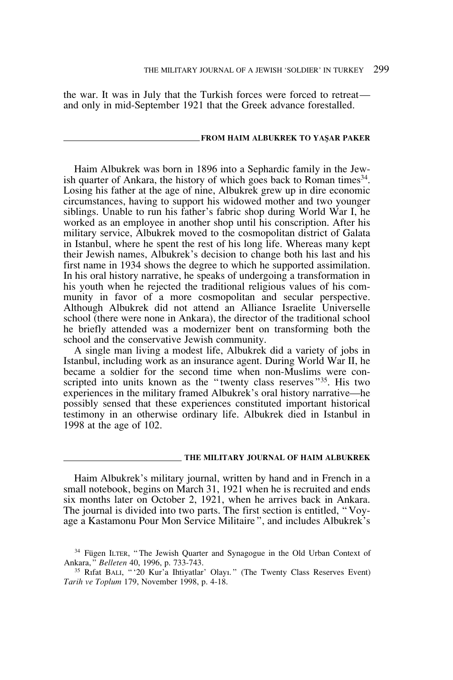the war. It was in July that the Turkish forces were forced to retreat and only in mid-September 1921 that the Greek advance forestalled.

# FROM HAIM ALBUKREK TO YA≤AR PAKER

Haim Albukrek was born in 1896 into a Sephardic family in the Jewish quarter of Ankara, the history of which goes back to Roman times<sup>34</sup>. Losing his father at the age of nine, Albukrek grew up in dire economic circumstances, having to support his widowed mother and two younger siblings. Unable to run his father's fabric shop during World War I, he worked as an employee in another shop until his conscription. After his military service, Albukrek moved to the cosmopolitan district of Galata in Istanbul, where he spent the rest of his long life. Whereas many kept their Jewish names, Albukrek's decision to change both his last and his first name in 1934 shows the degree to which he supported assimilation. In his oral history narrative, he speaks of undergoing a transformation in his youth when he rejected the traditional religious values of his community in favor of a more cosmopolitan and secular perspective. Although Albukrek did not attend an Alliance Israelite Universelle school (there were none in Ankara), the director of the traditional school he briefly attended was a modernizer bent on transforming both the school and the conservative Jewish community.

A single man living a modest life, Albukrek did a variety of jobs in Istanbul, including work as an insurance agent. During World War II, he became a soldier for the second time when non-Muslims were conscripted into units known as the "twenty class reserves"35. His two experiences in the military framed Albukrek's oral history narrative—he possibly sensed that these experiences constituted important historical testimony in an otherwise ordinary life. Albukrek died in Istanbul in 1998 at the age of 102.

#### THE MILITARY JOURNAL OF HAIM ALBUKREK

Haim Albukrek's military journal, written by hand and in French in a small notebook, begins on March 31, 1921 when he is recruited and ends six months later on October 2, 1921, when he arrives back in Ankara. The journal is divided into two parts. The first section is entitled, "Voyage a Kastamonu Pour Mon Service Militaire", and includes Albukrek's

<sup>&</sup>lt;sup>34</sup> Fügen ILTER, "The Jewish Quarter and Synagogue in the Old Urban Context of Ankara,∞" Belleten 40, 1996, p. 733-743.

<sup>&</sup>lt;sup>35</sup> Rifat BALI, "<sup>20</sup> Kur'a Ihtiyatlar' Olayı." (The Twenty Class Reserves Event) Tarih ve Toplum 179, November 1998, p. 4-18.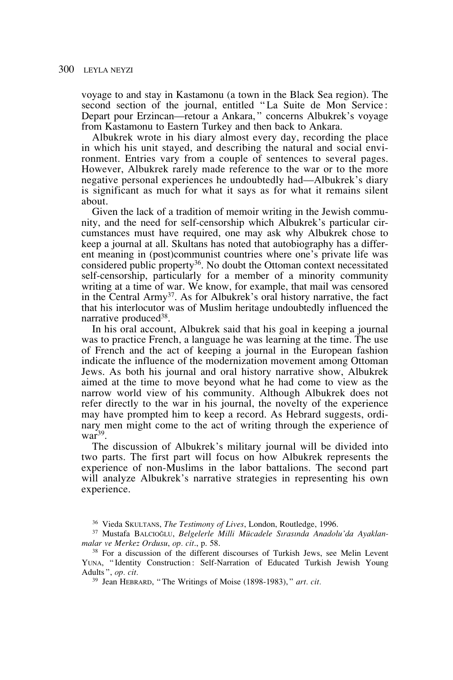voyage to and stay in Kastamonu (a town in the Black Sea region). The second section of the journal, entitled "La Suite de Mon Service: Depart pour Erzincan—retour a Ankara," concerns Albukrek's voyage from Kastamonu to Eastern Turkey and then back to Ankara.

Albukrek wrote in his diary almost every day, recording the place in which his unit stayed, and describing the natural and social environment. Entries vary from a couple of sentences to several pages. However, Albukrek rarely made reference to the war or to the more negative personal experiences he undoubtedly had—Albukrek's diary is significant as much for what it says as for what it remains silent about.

Given the lack of a tradition of memoir writing in the Jewish community, and the need for self-censorship which Albukrek's particular circumstances must have required, one may ask why Albukrek chose to keep a journal at all. Skultans has noted that autobiography has a different meaning in (post)communist countries where one's private life was considered public property<sup>36</sup>. No doubt the Ottoman context necessitated self-censorship, particularly for a member of a minority community writing at a time of war. We know, for example, that mail was censored in the Central Army<sup>37</sup>. As for Albukrek's oral history narrative, the fact that his interlocutor was of Muslim heritage undoubtedly influenced the narrative produced<sup>38</sup>.

In his oral account, Albukrek said that his goal in keeping a journal was to practice French, a language he was learning at the time. The use of French and the act of keeping a journal in the European fashion indicate the influence of the modernization movement among Ottoman Jews. As both his journal and oral history narrative show, Albukrek aimed at the time to move beyond what he had come to view as the narrow world view of his community. Although Albukrek does not refer directly to the war in his journal, the novelty of the experience may have prompted him to keep a record. As Hebrard suggests, ordinary men might come to the act of writing through the experience of war<sup>39</sup>.

The discussion of Albukrek's military journal will be divided into two parts. The first part will focus on how Albukrek represents the experience of non-Muslims in the labor battalions. The second part will analyze Albukrek's narrative strategies in representing his own experience.

<sup>36</sup> Vieda SKULTANS, The Testimony of Lives, London, Routledge, 1996.

37 Mustafa BALCIOĞLU, Belgelerle Milli Mücadele Sırasında Anadolu'da Ayaklanmalar ve Merkez Ordusu, op. cit., p. 58.

<sup>38</sup> For a discussion of the different discourses of Turkish Jews, see Melin Levent YUNA, "Identity Construction: Self-Narration of Educated Turkish Jewish Young Adults", op. cit.

 $39$  Jean HEBRARD, "The Writings of Moise (1898-1983)," art. cit.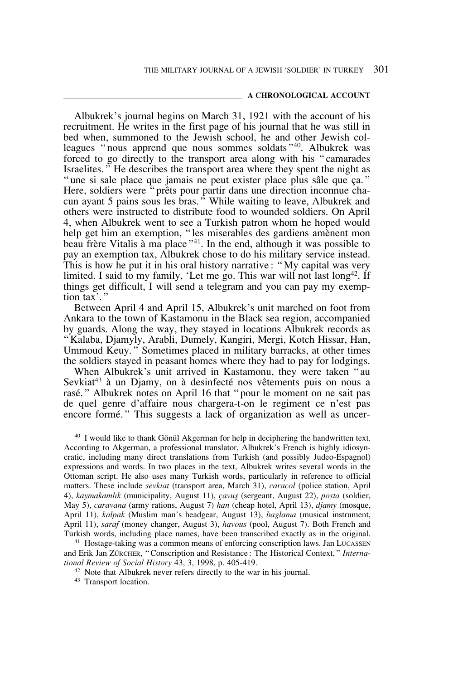#### $\_$  A CHRONOLOGICAL ACCOUNT

Albukrek's journal begins on March 31, 1921 with the account of his recruitment. He writes in the first page of his journal that he was still in bed when, summoned to the Jewish school, he and other Jewish colleagues "∞nous apprend que nous sommes soldats∞"40. Albukrek was forced to go directly to the transport area along with his "camarades" Israelites.<sup>35</sup> He describes the transport area where they spent the night as " une si sale place que jamais ne peut exister place plus sâle que ca." Here, soldiers were "prêts pour partir dans une direction inconnue chacun ayant 5 pains sous les bras.∞" While waiting to leave, Albukrek and others were instructed to distribute food to wounded soldiers. On April 4, when Albukrek went to see a Turkish patron whom he hoped would help get him an exemption, "les miserables des gardiens amènent mon beau frère Vitalis à ma place "<sup>41</sup>. In the end, although it was possible to pay an exemption tax, Albukrek chose to do his military service instead. This is how he put it in his oral history narrative: "My capital was very limited. I said to my family, 'Let me go. This war will not last  $\log^{42}$ . If things get difficult, I will send a telegram and you can pay my exemption tax'."

Between April 4 and April 15, Albukrek's unit marched on foot from Ankara to the town of Kastamonu in the Black sea region, accompanied by guards. Along the way, they stayed in locations Albukrek records as "∞Kalaba, Djamyly, Arabli, Dumely, Kangiri, Mergi, Kotch Hissar, Han, Ummoud Keuy." Sometimes placed in military barracks, at other times the soldiers stayed in peasant homes where they had to pay for lodgings.

When Albukrek's unit arrived in Kastamonu, they were taken "au Sevkiat<sup>43</sup> à un Djamy, on à desinfecté nos vêtements puis on nous a rasé." Albukrek notes on April 16 that "pour le moment on ne sait pas de quel genre d'affaire nous chargera-t-on le regiment ce n'est pas encore formé." This suggests a lack of organization as well as uncer-

<sup>40</sup> I would like to thank Gönül Akgerman for help in deciphering the handwritten text. According to Akgerman, a professional translator, Albukrek's French is highly idiosyncratic, including many direct translations from Turkish (and possibly Judeo-Espagnol) expressions and words. In two places in the text, Albukrek writes several words in the Ottoman script. He also uses many Turkish words, particularly in reference to official matters. These include *sevkiat* (transport area, March 31), *caracol* (police station, April 4), kaymakamlık (municipality, August 11), çavuş (sergeant, August 22), posta (soldier, May 5), *caravana* (army rations, August 7) han (cheap hotel, April 13), *diamy* (mosque, April 11), kalpak (Muslim man's headgear, August 13), baglama (musical instrument, April 11), saraf (money changer, August 3), havous (pool, August 7). Both French and Turkish words, including place names, have been transcribed exactly as in the original.

<sup>41</sup> Hostage-taking was a common means of enforcing conscription laws. Jan LUCASSEN and Erik Jan ZÜRCHER, "Conscription and Resistance: The Historical Context," International Review of Social History 43, 3, 1998, p. 405-419.

<sup>42</sup> Note that Albukrek never refers directly to the war in his journal.

<sup>43</sup> Transport location.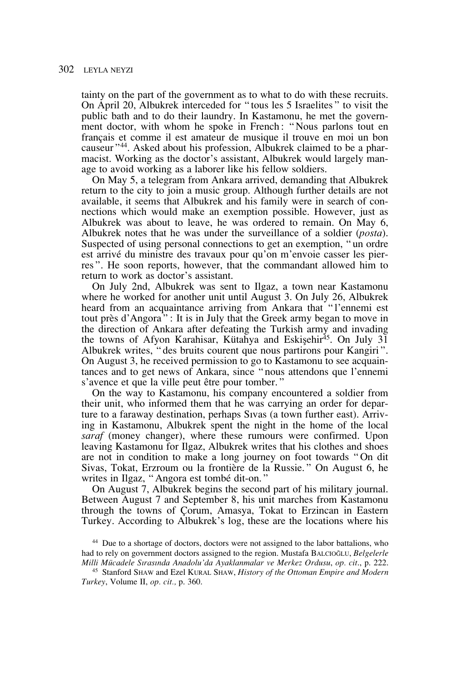tainty on the part of the government as to what to do with these recruits. On April 20, Albukrek interceded for "tous les 5 Israelites" to visit the public bath and to do their laundry. In Kastamonu, he met the government doctor, with whom he spoke in French: "Nous parlons tout en français et comme il est amateur de musique il trouve en moi un bon causeur<sup>™44</sup>. Asked about his profession, Albukrek claimed to be a pharmacist. Working as the doctor's assistant, Albukrek would largely manage to avoid working as a laborer like his fellow soldiers.

On May 5, a telegram from Ankara arrived, demanding that Albukrek return to the city to join a music group. Although further details are not available, it seems that Albukrek and his family were in search of connections which would make an exemption possible. However, just as Albukrek was about to leave, he was ordered to remain. On May 6, Albukrek notes that he was under the surveillance of a soldier (posta). Suspected of using personal connections to get an exemption, "un ordre est arrivé du ministre des travaux pour qu'on m'envoie casser les pierres". He soon reports, however, that the commandant allowed him to return to work as doctor's assistant.

On July 2nd, Albukrek was sent to Ilgaz, a town near Kastamonu where he worked for another unit until August 3. On July 26, Albukrek heard from an acquaintance arriving from Ankara that "l'ennemi est tout près d'Angora": It is in July that the Greek army began to move in the direction of Ankara after defeating the Turkish army and invading the towns of Afyon Karahisar, Kütahya and Eskişehir<sup>45</sup>. On July 31 Albukrek writes, " des bruits courent que nous partirons pour Kangiri". On August 3, he received permission to go to Kastamonu to see acquaintances and to get news of Ankara, since "nous attendons que l'ennemi s'avence et que la ville peut être pour tomber."

On the way to Kastamonu, his company encountered a soldier from their unit, who informed them that he was carrying an order for departure to a faraway destination, perhaps Sıvas (a town further east). Arriving in Kastamonu, Albukrek spent the night in the home of the local saraf (money changer), where these rumours were confirmed. Upon leaving Kastamonu for Ilgaz, Albukrek writes that his clothes and shoes are not in condition to make a long journey on foot towards "On dit Sivas, Tokat, Erzroum ou la frontière de la Russie.<sup>19</sup> On August 6, he writes in Ilgaz, "Angora est tombé dit-on."

On August 7, Albukrek begins the second part of his military journal. Between August 7 and September 8, his unit marches from Kastamonu through the towns of Çorum, Amasya, Tokat to Erzincan in Eastern Turkey. According to Albukrek's log, these are the locations where his

<sup>44</sup> Due to a shortage of doctors, doctors were not assigned to the labor battalions, who had to rely on government doctors assigned to the region. Mustafa BALCIOGLU, Belgelerle Milli Mücadele Sırasında Anadolu'da Ayaklanmalar ve Merkez Ordusu, op. cit., p. 222.

<sup>&</sup>lt;sup>45</sup> Stanford SHAW and Ezel KURAL SHAW, History of the Ottoman Empire and Modern Turkey, Volume II, op. cit., p. 360.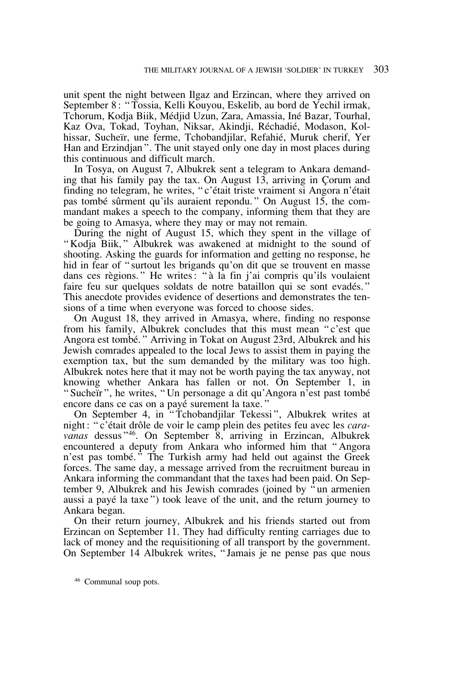unit spent the night between Ilgaz and Erzincan, where they arrived on September 8∶ "Tossia, Kelli Kouyou, Eskelib, au bord de Yechil irmak, Tchorum, Kodja Biik, Médjid Uzun, Zara, Amassia, Iné Bazar, Tourhal, Kaz Ova, Tokad, Toyhan, Niksar, Akindji, Réchadié, Modason, Kolhissar, Sucheïr, une ferme, Tchobandjilar, Refahié, Muruk cherif, Yer Han and Erzindjan". The unit stayed only one day in most places during this continuous and difficult march.

In Tosya, on August 7, Albukrek sent a telegram to Ankara demanding that his family pay the tax. On August 13, arriving in Çorum and finding no telegram, he writes, "c'était triste vraiment si Angora n'était pas tombé sûrment qu'ils auraient repondu. "On August 15, the commandant makes a speech to the company, informing them that they are be going to Amasya, where they may or may not remain.

During the night of August 15, which they spent in the village of "∞Kodja Biik,∞" Albukrek was awakened at midnight to the sound of shooting. Asking the guards for information and getting no response, he hid in fear of "surtout les brigands qu'on dit que se trouvent en masse dans ces règions." He writes: "à la fin j'ai compris qu'ils voulaient faire feu sur quelques soldats de notre bataillon qui se sont evadés." This anecdote provides evidence of desertions and demonstrates the tensions of a time when everyone was forced to choose sides.

On August 18, they arrived in Amasya, where, finding no response from his family, Albukrek concludes that this must mean "c'est que Angora est tombé." Arriving in Tokat on August 23rd, Albukrek and his Jewish comrades appealed to the local Jews to assist them in paying the exemption tax, but the sum demanded by the military was too high. Albukrek notes here that it may not be worth paying the tax anyway, not knowing whether Ankara has fallen or not. On September 1, in "Sucheïr", he writes, "Un personage a dit qu'Angora n'est past tombé encore dans ce cas on a payé surement la taxe."

On September 4, in "∞Tchobandjilar Tekessi∞", Albukrek writes at night∶ "c'était drôle de voir le camp plein des petites feu avec les *cara*vanas dessus<sup>346</sup>. On September 8, arriving in Erzincan, Albukrek encountered a deputy from Ankara who informed him that "Angora n'est pas tombé.<sup>5</sup> The Turkish army had held out against the Greek forces. The same day, a message arrived from the recruitment bureau in Ankara informing the commandant that the taxes had been paid. On September 9, Albukrek and his Jewish comrades (joined by "un armenien aussi a payé la taxe") took leave of the unit, and the return journey to Ankara began.

On their return journey, Albukrek and his friends started out from Erzincan on September 11. They had difficulty renting carriages due to lack of money and the requisitioning of all transport by the government. On September 14 Albukrek writes, "∞Jamais je ne pense pas que nous

<sup>46</sup> Communal soup pots.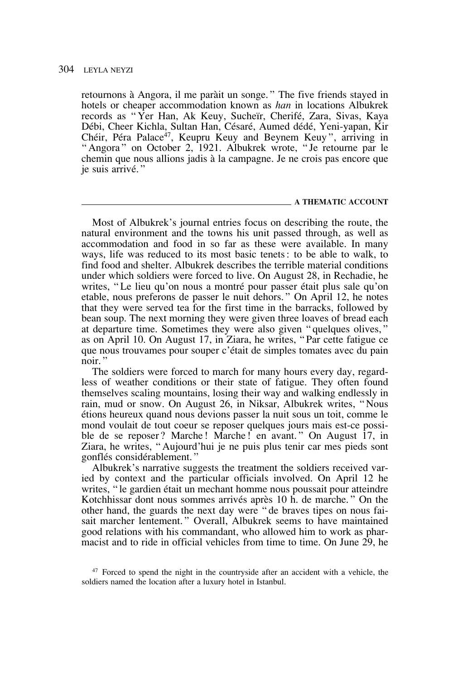retournons à Angora, il me paràit un songe." The five friends stayed in hotels or cheaper accommodation known as *han* in locations Albukrek records as "∞Yer Han, Ak Keuy, Sucheïr, Cherifé, Zara, Sivas, Kaya Débi, Cheer Kichla, Sultan Han, Césaré, Aumed dédé, Yeni-yapan, Kir Chéir, Péra Palace<sup>47</sup>, Keupru Keuy and Beynem Keuy", arriving in "Angora" on October 2, 1921. Albukrek wrote, "Je retourne par le chemin que nous allions jadis à la campagne. Je ne crois pas encore que je suis arrivé."

#### A THEMATIC ACCOUNT

Most of Albukrek's journal entries focus on describing the route, the natural environment and the towns his unit passed through, as well as accommodation and food in so far as these were available. In many ways, life was reduced to its most basic tenets: to be able to walk, to find food and shelter. Albukrek describes the terrible material conditions under which soldiers were forced to live. On August 28, in Rechadie, he writes, "Le lieu qu'on nous a montré pour passer était plus sale qu'on etable, nous preferons de passer le nuit dehors." On April 12, he notes that they were served tea for the first time in the barracks, followed by bean soup. The next morning they were given three loaves of bread each at departure time. Sometimes they were also given "quelques olives," as on April 10. On August 17, in Ziara, he writes, "Par cette fatigue ce que nous trouvames pour souper c'était de simples tomates avec du pain noir.<sup>"</sup>

The soldiers were forced to march for many hours every day, regardless of weather conditions or their state of fatigue. They often found themselves scaling mountains, losing their way and walking endlessly in rain, mud or snow. On August 26, in Niksar, Albukrek writes, "Nous étions heureux quand nous devions passer la nuit sous un toit, comme le mond voulait de tout coeur se reposer quelques jours mais est-ce possible de se reposer? Marche! Marche! en avant." On August 17, in Ziara, he writes, "Aujourd'hui je ne puis plus tenir car mes pieds sont gonflés considérablement."

Albukrek's narrative suggests the treatment the soldiers received varied by context and the particular officials involved. On April 12 he writes, "le gardien était un mechant homme nous poussait pour atteindre Kotchhissar dont nous sommes arrivés après 10 h. de marche.<sup>™</sup> On the other hand, the guards the next day were " de braves tipes on nous faisait marcher lentement." Overall, Albukrek seems to have maintained good relations with his commandant, who allowed him to work as pharmacist and to ride in official vehicles from time to time. On June 29, he

<sup>47</sup> Forced to spend the night in the countryside after an accident with a vehicle, the soldiers named the location after a luxury hotel in Istanbul.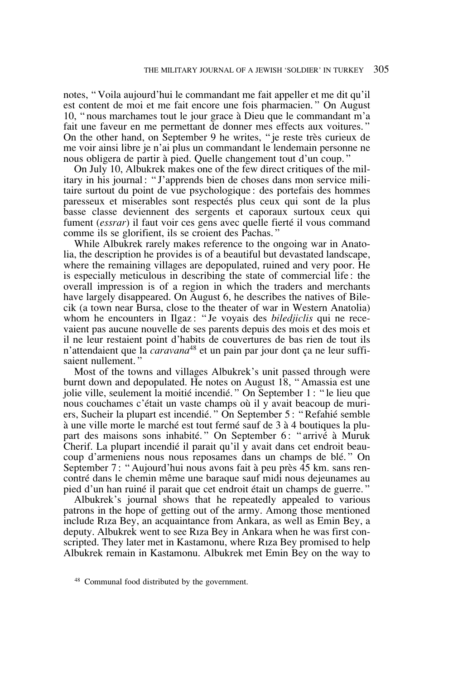notes, "∞Voila aujourd'hui le commandant me fait appeller et me dit qu'il est content de moi et me fait encore une fois pharmacien." On August 10, "∞nous marchames tout le jour grace à Dieu que le commandant m'a fait une faveur en me permettant de donner mes effects aux voitures." On the other hand, on September 9 he writes, " je reste très curieux de me voir ainsi libre je n'ai plus un commandant le lendemain personne ne nous obligera de partir à pied. Quelle changement tout d'un coup."

On July 10, Albukrek makes one of the few direct critiques of the military in his journal: "J'apprends bien de choses dans mon service militaire surtout du point de vue psychologique∶ des portefais des hommes paresseux et miserables sont respectés plus ceux qui sont de la plus basse classe deviennent des sergents et caporaux surtoux ceux qui fument (essrar) il faut voir ces gens avec quelle fierté il vous command comme ils se glorifient, ils se croient des Pachas."

While Albukrek rarely makes reference to the ongoing war in Anatolia, the description he provides is of a beautiful but devastated landscape, where the remaining villages are depopulated, ruined and very poor. He is especially meticulous in describing the state of commercial life∶ the overall impression is of a region in which the traders and merchants have largely disappeared. On August 6, he describes the natives of Bilecik (a town near Bursa, close to the theater of war in Western Anatolia) whom he encounters in Ilgaz: "Je voyais des *biledjiclis* qui ne recevaient pas aucune nouvelle de ses parents depuis des mois et des mois et il ne leur restaient point d'habits de couvertures de bas rien de tout ils n'attendaient que la *caravana*<sup>48</sup> et un pain par jour dont ça ne leur suffisaient nullement."

Most of the towns and villages Albukrek's unit passed through were burnt down and depopulated. He notes on August 18, "Amassia est une jolie ville, seulement la moitié incendié. " On September 1 : "le lieu que nous couchames c'était un vaste champs où il y avait beacoup de muriers, Sucheir la plupart est incendié. "On September 5: "Refahié semble à une ville morte le marché est tout fermé sauf de 3 à 4 boutiques la plupart des maisons sons inhabité." On September 6: "arrivé à Muruk Cherif. La plupart incendié il parait qu'il y avait dans cet endroit beaucoup d'armeniens nous nous reposames dans un champs de blé.∞" On September 7: "Aujourd'hui nous avons fait à peu près 45 km, sans rencontré dans le chemin même une baraque sauf midi nous dejeunames au pied d'un han ruiné il parait que cet endroit était un champs de guerre."

Albukrek's journal shows that he repeatedly appealed to various patrons in the hope of getting out of the army. Among those mentioned include Rıza Bey, an acquaintance from Ankara, as well as Emin Bey, a deputy. Albukrek went to see Rıza Bey in Ankara when he was first conscripted. They later met in Kastamonu, where Rıza Bey promised to help Albukrek remain in Kastamonu. Albukrek met Emin Bey on the way to

<sup>48</sup> Communal food distributed by the government.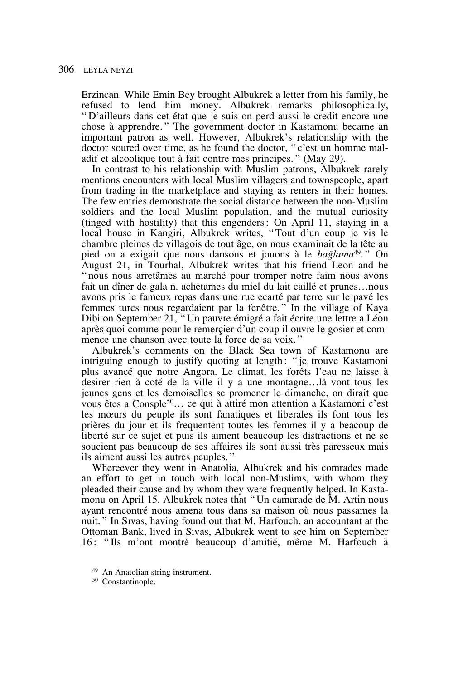Erzincan. While Emin Bey brought Albukrek a letter from his family, he refused to lend him money. Albukrek remarks philosophically, "D'ailleurs dans cet état que je suis on perd aussi le credit encore une chose à apprendre." The government doctor in Kastamonu became an important patron as well. However, Albukrek's relationship with the doctor soured over time, as he found the doctor, "c'est un homme maladif et alcoolique tout à fait contre mes principes." (May 29).

In contrast to his relationship with Muslim patrons, Albukrek rarely mentions encounters with local Muslim villagers and townspeople, apart from trading in the marketplace and staying as renters in their homes. The few entries demonstrate the social distance between the non-Muslim soldiers and the local Muslim population, and the mutual curiosity (tinged with hostility) that this engenders: On April 11, staying in a local house in Kangiri, Albukrek writes, "Tout d'un coup je vis le chambre pleines de villagois de tout âge, on nous examinait de la tête au pied on a exigait que nous dansons et jouons à le baglama<sup>49</sup>." On August 21, in Tourhal, Albukrek writes that his friend Leon and he "∞nous nous arretâmes au marché pour tromper notre faim nous avons fait un dîner de gala n. achetames du miel du lait caillé et prunes…nous avons pris le fameux repas dans une rue ecarté par terre sur le pavé les femmes turcs nous regardaient par la fenêtre." In the village of Kaya Dibi on September 21, "Un pauvre émigré a fait écrire une lettre a Léon après quoi comme pour le remerçier d'un coup il ouvre le gosier et commence une chanson avec toute la force de sa voix."

Albukrek's comments on the Black Sea town of Kastamonu are intriguing enough to justify quoting at length∶ "je trouve Kastamoni plus avancé que notre Angora. Le climat, les forêts l'eau ne laisse à desirer rien à coté de la ville il y a une montagne…là vont tous les jeunes gens et les demoiselles se promener le dimanche, on dirait que vous êtes a Consple50… ce qui à attiré mon attention a Kastamoni c'est les mœurs du peuple ils sont fanatiques et liberales ils font tous les prières du jour et ils frequentent toutes les femmes il y a beacoup de liberté sur ce sujet et puis ils aiment beaucoup les distractions et ne se soucient pas beaucoup de ses affaires ils sont aussi très paresseux mais ils aiment aussi les autres peuples.∞"

Whereever they went in Anatolia, Albukrek and his comrades made an effort to get in touch with local non-Muslims, with whom they pleaded their cause and by whom they were frequently helped. In Kastamonu on April 15, Albukrek notes that "Un camarade de M. Artin nous ayant rencontré nous amena tous dans sa maison où nous passames la nuit.<sup>™</sup> In Sivas, having found out that M. Harfouch, an accountant at the Ottoman Bank, lived in Sıvas, Albukrek went to see him on September 16: "Ils m'ont montré beaucoup d'amitié, même M. Harfouch à

<sup>50</sup> Constantinople.

<sup>&</sup>lt;sup>49</sup> An Anatolian string instrument.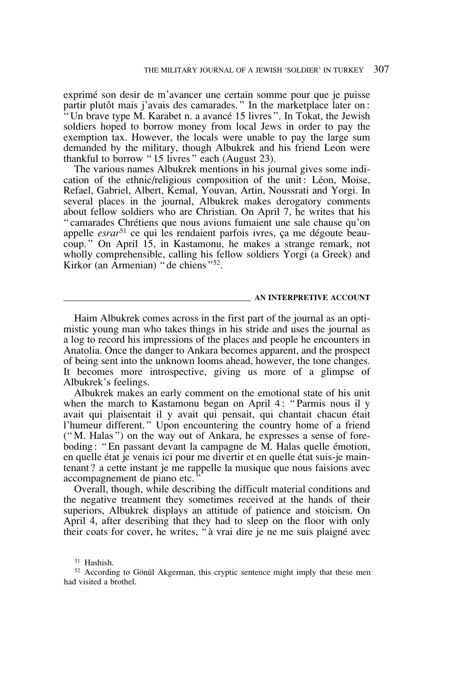exprimé son desir de m'avancer une certain somme pour que je puisse partir plutôt mais j'avais des camarades." In the marketplace later on: "Un brave type M. Karabet n. a avancé 15 livres". In Tokat, the Jewish soldiers hoped to borrow money from local Jews in order to pay the exemption tax. However, the locals were unable to pay the large sum demanded by the military, though Albukrek and his friend Leon were thankful to borrow " $15$  livres" each (August 23).

The various names Albukrek mentions in his journal gives some indication of the ethnic/religious composition of the unit∶ Léon, Moise, Refael, Gabriel, Albert, Kemal, Youvan, Artin, Noussrati and Yorgi. In several places in the journal, Albukrek makes derogatory comments about fellow soldiers who are Christian. On April 7, he writes that his "∞camarades Chrétiens que nous avions fumaient une sale chause qu'on appelle *esrar*<sup>51</sup> ce qui les rendaient parfois ivres, ça me dégoute beaucoup.∞" On April 15, in Kastamonu, he makes a strange remark, not wholly comprehensible, calling his fellow soldiers Yorgi (a Greek) and Kirkor (an Armenian) " de chiens $\frac{0.52}{0.52}$ .

### **AN INTERPRETIVE ACCOUNT**

Haim Albukrek comes across in the first part of the journal as an optimistic young man who takes things in his stride and uses the journal as a log to record his impressions of the places and people he encounters in Anatolia. Once the danger to Ankara becomes apparent, and the prospect of being sent into the unknown looms ahead, however, the tone changes. It becomes more introspective, giving us more of a glimpse of Albukrek's feelings.

Albukrek makes an early comment on the emotional state of his unit when the march to Kastamonu began on April 4: "Parmis nous il y avait qui plaisentait il y avait qui pensait, qui chantait chacun était l'humeur different." Upon encountering the country home of a friend ("M. Halas") on the way out of Ankara, he expresses a sense of foreboding: "En passant devant la campagne de M. Halas quelle émotion, en quelle état je venais ici pour me divertir et en quelle état suis-je maintenant? a cette instant je me rappelle la musique que nous faisions avec accompagnement de piano etc.

Overall, though, while describing the difficult material conditions and the negative treatment they sometimes received at the hands of their superiors, Albukrek displays an attitude of patience and stoicism. On April 4, after describing that they had to sleep on the floor with only their coats for cover, he writes, "à vrai dire je ne me suis plaigné avec

<sup>51</sup> Hashish.

<sup>52</sup> According to Gönül Akgerman, this cryptic sentence might imply that these men had visited a brothel.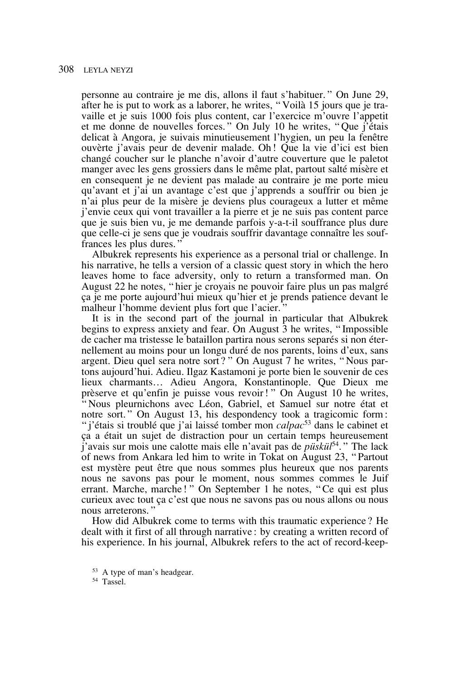personne au contraire je me dis, allons il faut s'habituer." On June 29, after he is put to work as a laborer, he writes, "Voilà 15 jours que je travaille et je suis 1000 fois plus content, car l'exercice m'ouvre l'appetit et me donne de nouvelles forces." On July 10 he writes, "Que j'étais delicat à Angora, je suivais minutieusement l'hygien, un peu la fenêtre ouvèrte j'avais peur de devenir malade. Oh! Que la vie d'ici est bien changé coucher sur le planche n'avoir d'autre couverture que le paletot manger avec les gens grossiers dans le même plat, partout salté misère et en consequent je ne devient pas malade au contraire je me porte mieu qu'avant et j'ai un avantage c'est que j'apprends a souffrir ou bien je n'ai plus peur de la misère je deviens plus courageux a lutter et même j'envie ceux qui vont travailler a la pierre et je ne suis pas content parce que je suis bien vu, je me demande parfois y-a-t-il souffrance plus dure que celle-ci je sens que je voudrais souffrir davantage connaître les souffrances les plus dures."

Albukrek represents his experience as a personal trial or challenge. In his narrative, he tells a version of a classic quest story in which the hero leaves home to face adversity, only to return a transformed man. On August 22 he notes, "∞hier je croyais ne pouvoir faire plus un pas malgré ça je me porte aujourd'hui mieux qu'hier et je prends patience devant le malheur l'homme devient plus fort que l'acier.

It is in the second part of the journal in particular that Albukrek begins to express anxiety and fear. On August 3 he writes, "Impossible de cacher ma tristesse le bataillon partira nous serons separés si non éternellement au moins pour un longu duré de nos parents, loins d'eux, sans argent. Dieu quel sera notre sort?" On August 7 he writes, "Nous partons aujourd'hui. Adieu. Ilgaz Kastamoni je porte bien le souvenir de ces lieux charmants… Adieu Angora, Konstantinople. Que Dieux me prèserve et qu'enfin je puisse vous revoir!" On August 10 he writes, "∞Nous pleurnichons avec Léon, Gabriel, et Samuel sur notre état et notre sort.<sup>™</sup> On August 13, his despondency took a tragicomic form: " j'étais si troublé que j'ai laissé tomber mon  $calpac<sup>53</sup>$  dans le cabinet et ça a était un sujet de distraction pour un certain temps heureusement j'avais sur mois une calotte mais elle n'avait pas de *püskül*<sup>54</sup>." The lack of news from Ankara led him to write in Tokat on August 23, "Partout est mystère peut être que nous sommes plus heureux que nos parents nous ne savons pas pour le moment, nous sommes commes le Juif errant. Marche, marche!" On September 1 he notes, "Ce qui est plus curieux avec tout ça c'est que nous ne savons pas ou nous allons ou nous nous arreterons."

How did Albukrek come to terms with this traumatic experience? He dealt with it first of all through narrative : by creating a written record of his experience. In his journal, Albukrek refers to the act of record-keep-

<sup>54</sup> Tassel.

<sup>53</sup> A type of man's headgear.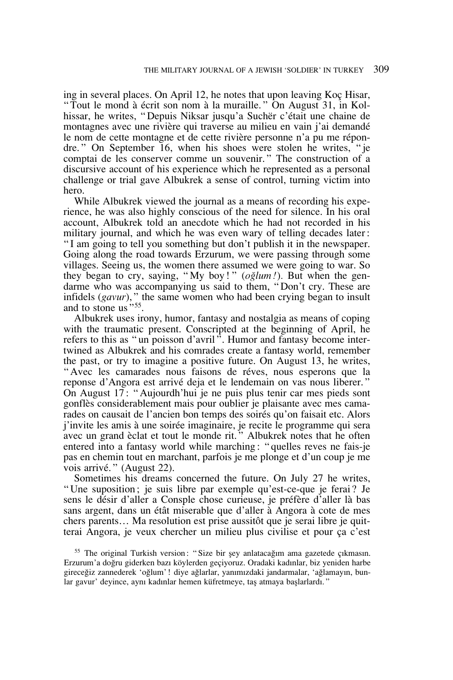ing in several places. On April 12, he notes that upon leaving Koç Hisar, "∞Tout le mond à écrit son nom à la muraille.∞" On August 31, in Kolhissar, he writes, "∞Depuis Niksar jusqu'a Suchër c'était une chaine de montagnes avec une rivière qui traverse au milieu en vain j'ai demandé le nom de cette montagne et de cette rivière personne n'a pu me répondre." On September 16, when his shoes were stolen he writes, "je comptai de les conserver comme un souvenir." The construction of a discursive account of his experience which he represented as a personal challenge or trial gave Albukrek a sense of control, turning victim into hero.

While Albukrek viewed the journal as a means of recording his experience, he was also highly conscious of the need for silence. In his oral account, Albukrek told an anecdote which he had not recorded in his military journal, and which he was even wary of telling decades later: "I am going to tell you something but don't publish it in the newspaper. Going along the road towards Erzurum, we were passing through some villages. Seeing us, the women there assumed we were going to war. So they began to cry, saying, "My boy!" ( $o\tilde{glum}$ !). But when the gendarme who was accompanying us said to them, "Don't cry. These are infidels  $(gavur)$ ," the same women who had been crying began to insult and to stone us<sup>"55</sup>.

Albukrek uses irony, humor, fantasy and nostalgia as means of coping with the traumatic present. Conscripted at the beginning of April, he refers to this as "un poisson d'avril<sup>™</sup>. Humor and fantasy become intertwined as Albukrek and his comrades create a fantasy world, remember the past, or try to imagine a positive future. On August 13, he writes, "∞Avec les camarades nous faisons de réves, nous esperons que la reponse d'Angora est arrivé deja et le lendemain on vas nous liberer." On August 17∞: "∞Aujourdh'hui je ne puis plus tenir car mes pieds sont gonflès considerablement mais pour oublier je plaisante avec mes camarades on causait de l'ancien bon temps des soirés qu'on faisait etc. Alors j'invite les amis à une soirée imaginaire, je recite le programme qui sera avec un grand èclat et tout le monde rit." Albukrek notes that he often entered into a fantasy world while marching: "quelles reves ne fais-je pas en chemin tout en marchant, parfois je me plonge et d'un coup je me vois arrivé.<sup>™</sup> (August 22).

Sometimes his dreams concerned the future. On July 27 he writes, "Une suposition; je suis libre par exemple qu'est-ce-que je ferai? Je sens le désir d'aller a Consple chose curieuse, je préfère d'aller là bas sans argent, dans un étât miserable que d'aller à Angora à cote de mes chers parents… Ma resolution est prise aussitôt que je serai libre je quitterai Angora, je veux chercher un milieu plus civilise et pour ça c'est

<sup>55</sup> The original Turkish version∶ "Size bir sey anlatacağım ama gazetede çıkmasın. Erzurum'a dogru giderken bazı köylerden geçiyoruz. Oradaki kadınlar, biz yeniden harbe gireceğiz zannederek 'oğlum'! diye ağlarlar, yanımızdaki jandarmalar, 'ağlamayın, bunlar gavur' deyince, aynı kadınlar hemen küfretmeye, taş atmaya başlarlardı."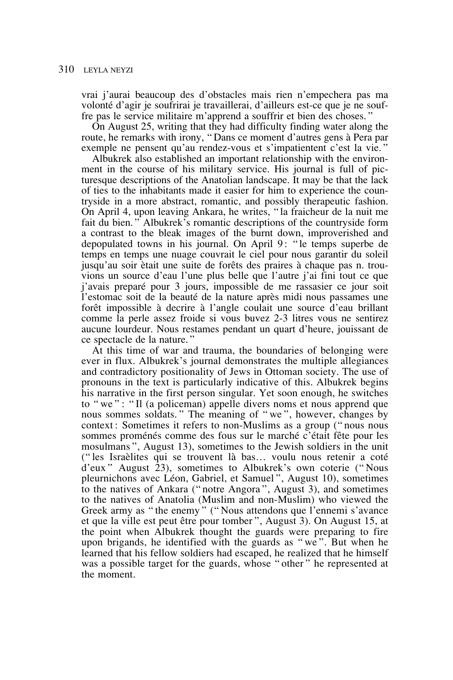vrai j'aurai beaucoup des d'obstacles mais rien n'empechera pas ma volonté d'agir je soufrirai je travaillerai, d'ailleurs est-ce que je ne souffre pas le service militaire m'apprend a souffrir et bien des choses."

On August 25, writing that they had difficulty finding water along the route, he remarks with irony, "Dans ce moment d'autres gens à Pera par exemple ne pensent qu'au rendez-vous et s'impatientent c'est la vie."

Albukrek also established an important relationship with the environment in the course of his military service. His journal is full of picturesque descriptions of the Anatolian landscape. It may be that the lack of ties to the inhabitants made it easier for him to experience the countryside in a more abstract, romantic, and possibly therapeutic fashion. On April 4, upon leaving Ankara, he writes, "la fraicheur de la nuit me fait du bien." Albukrek's romantic descriptions of the countryside form a contrast to the bleak images of the burnt down, improverished and depopulated towns in his journal. On April 9: "le temps superbe de temps en temps une nuage couvrait le ciel pour nous garantir du soleil jusqu'au soir ètait une suite de forêts des praires à chaque pas n. trouvions un source d'eau l'une plus belle que l'autre j'ai fini tout ce que j'avais preparé pour 3 jours, impossible de me rassasier ce jour soit l'estomac soit de la beauté de la nature après midi nous passames une forêt impossible à decrire à l'angle coulait une source d'eau brillant comme la perle assez froide si vous buvez 2-3 litres vous ne sentirez aucune lourdeur. Nous restames pendant un quart d'heure, jouissant de ce spectacle de la nature.∞"

At this time of war and trauma, the boundaries of belonging were ever in flux. Albukrek's journal demonstrates the multiple allegiances and contradictory positionality of Jews in Ottoman society. The use of pronouns in the text is particularly indicative of this. Albukrek begins his narrative in the first person singular. Yet soon enough, he switches to "we": "Il (a policeman) appelle divers noms et nous apprend que nous sommes soldats." The meaning of "we", however, changes by context: Sometimes it refers to non-Muslims as a group ("nous nous sommes proménés comme des fous sur le marché c'était fête pour les mosulmans", August 13), sometimes to the Jewish soldiers in the unit ("∞les Israèlites qui se trouvent là bas… voulu nous retenir a coté d'eux " August 23), sometimes to Albukrek's own coterie ("Nous pleurnichons avec Léon, Gabriel, et Samuel<sup>™</sup>, August 10), sometimes to the natives of Ankara ("notre Angora", August 3), and sometimes to the natives of Anatolia (Muslim and non-Muslim) who viewed the Greek army as "the enemy" ("Nous attendons que l'ennemi s'avance et que la ville est peut être pour tomber", August 3). On August 15, at the point when Albukrek thought the guards were preparing to fire upon brigands, he identified with the guards as "we". But when he learned that his fellow soldiers had escaped, he realized that he himself was a possible target for the guards, whose "other" he represented at the moment.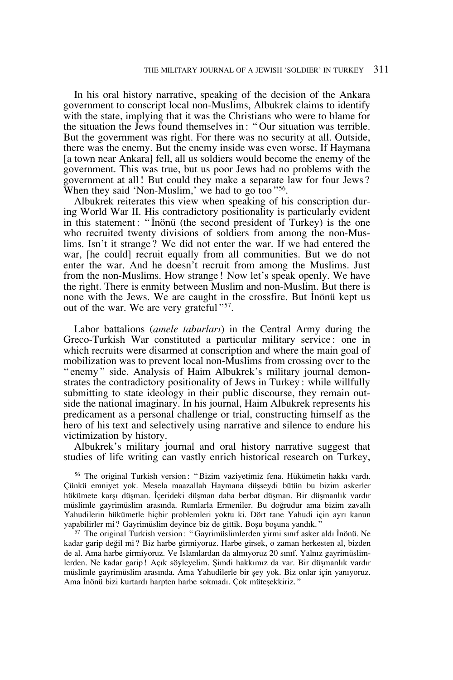In his oral history narrative, speaking of the decision of the Ankara government to conscript local non-Muslims, Albukrek claims to identify with the state, implying that it was the Christians who were to blame for the situation the Jews found themselves in∶ "Our situation was terrible. But the government was right. For there was no security at all. Outside, there was the enemy. But the enemy inside was even worse. If Haymana [a town near Ankara] fell, all us soldiers would become the enemy of the government. This was true, but us poor Jews had no problems with the government at all! But could they make a separate law for four Jews? When they said 'Non-Muslim,' we had to go too  $\frac{0.56}{0.56}$ .

Albukrek reiterates this view when speaking of his conscription during World War II. His contradictory positionality is particularly evident in this statement: "Inönü (the second president of Turkey) is the one who recruited twenty divisions of soldiers from among the non-Muslims. Isn't it strange? We did not enter the war. If we had entered the war, [he could] recruit equally from all communities. But we do not enter the war. And he doesn't recruit from among the Muslims. Just from the non-Muslims. How strange! Now let's speak openly. We have the right. There is enmity between Muslim and non-Muslim. But there is none with the Jews. We are caught in the crossfire. But Inönü kept us out of the war. We are very grateful<sup>357</sup>.

Labor battalions (*amele taburlari*) in the Central Army during the Greco-Turkish War constituted a particular military service: one in which recruits were disarmed at conscription and where the main goal of mobilization was to prevent local non-Muslims from crossing over to the "enemy" side. Analysis of Haim Albukrek's military journal demonstrates the contradictory positionality of Jews in Turkey: while willfully submitting to state ideology in their public discourse, they remain outside the national imaginary. In his journal, Haim Albukrek represents his predicament as a personal challenge or trial, constructing himself as the hero of his text and selectively using narrative and silence to endure his victimization by history.

Albukrek's military journal and oral history narrative suggest that studies of life writing can vastly enrich historical research on Turkey,

56 The original Turkish version: "Bizim vaziyetimiz fena. Hükümetin hakkı vardı. Çünkü emniyet yok. Mesela maazallah Haymana düşseydi bütün bu bizim askerler hükümete karşı düşman. İçerideki düşman daha berbat düşman. Bir düşmanlık vardır müslimle gayrimüslim arasında. Rumlarla Ermeniler. Bu dogrudur ama bizim zavallı Yahudilerin hükümetle hiçbir problemleri yoktu ki. Dört tane Yahudi için ayrı kanun yapabilirler mi? Gayrimüslim deyince biz de gittik. Boşu boşuna yandık.

57 The original Turkish version: "Gayrimüslimlerden yirmi sınıf asker aldı İnönü. Ne kadar garip degil mi∞? Biz harbe girmiyoruz. Harbe girsek, o zaman herkesten al, bizden de al. Ama harbe girmiyoruz. Ve Islamlardan da almıyoruz 20 sınıf. Yalnız gayrimüslimlerden. Ne kadar garip! Açık söyleyelim. Şimdi hakkımız da var. Bir düşmanlık vardır müslimle gayrimüslim arasında. Ama Yahudilerle bir ≥ey yok. Biz onlar için yanıyoruz. Ama İnönü bizi kurtardı harpten harbe sokmadı. Çok müteşekkiriz."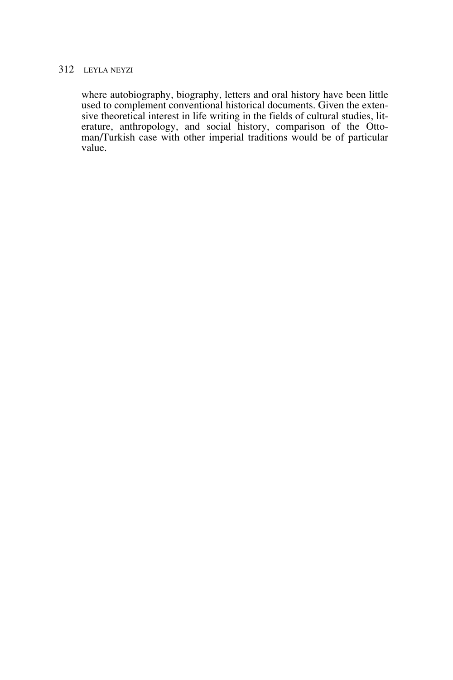# 312 LEYLA NEYZI

where autobiography, biography, letters and oral history have been little used to complement conventional historical documents. Given the extensive theoretical interest in life writing in the fields of cultural studies, literature, anthropology, and social history, comparison of the Ottoman/Turkish case with other imperial traditions would be of particular value.